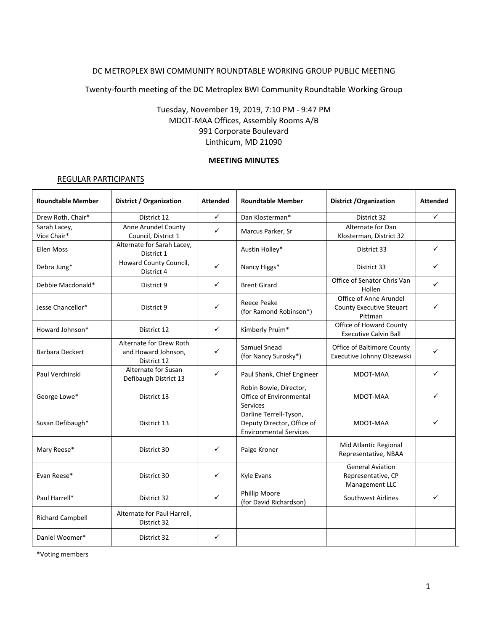## DC METROPLEX BWI COMMUNITY ROUNDTABLE WORKING GROUP PUBLIC MEETING

Twenty-fourth meeting of the DC Metroplex BWI Community Roundtable Working Group

## Tuesday, November 19, 2019, 7:10 PM - 9:47 PM MDOT-MAA Offices, Assembly Rooms A/B 991 Corporate Boulevard Linthicum, MD 21090

#### **MEETING MINUTES**

#### REGULAR PARTICIPANTS

| <b>Roundtable Member</b>    | District / Organization                                       | <b>Attended</b> | <b>Roundtable Member</b>                                                              | <b>District / Organization</b>                                  | <b>Attended</b> |
|-----------------------------|---------------------------------------------------------------|-----------------|---------------------------------------------------------------------------------------|-----------------------------------------------------------------|-----------------|
| Drew Roth, Chair*           | District 12                                                   | $\checkmark$    | Dan Klosterman*                                                                       | District 32                                                     | ✓               |
| Sarah Lacey,<br>Vice Chair* | Anne Arundel County<br>Council, District 1                    | ✓               | Marcus Parker, Sr                                                                     | Alternate for Dan<br>Klosterman, District 32                    |                 |
| Ellen Moss                  | Alternate for Sarah Lacey,<br>District 1                      |                 | Austin Holley*                                                                        | District 33                                                     | ✓               |
| Debra Jung*                 | Howard County Council,<br>District 4                          | ✓               | Nancy Higgs*                                                                          | District 33                                                     | ✓               |
| Debbie Macdonald*           | District 9                                                    | ✓               | <b>Brent Girard</b>                                                                   | Office of Senator Chris Van<br>Hollen                           | ✓               |
| Jesse Chancellor*           | District 9                                                    | ✓               | <b>Reece Peake</b><br>(for Ramond Robinson*)                                          | Office of Anne Arundel<br>County Executive Steuart<br>Pittman   | ✓               |
| Howard Johnson*             | District 12                                                   | ✓               | Kimberly Pruim*                                                                       | Office of Howard County<br><b>Executive Calvin Ball</b>         |                 |
| <b>Barbara Deckert</b>      | Alternate for Drew Roth<br>and Howard Johnson,<br>District 12 | ✓               | Samuel Snead<br>(for Nancy Surosky*)                                                  | <b>Office of Baltimore County</b><br>Executive Johnny Olszewski |                 |
| Paul Verchinski             | Alternate for Susan<br>Defibaugh District 13                  | $\checkmark$    | Paul Shank, Chief Engineer                                                            | MDOT-MAA                                                        | ✓               |
| George Lowe*                | District 13                                                   |                 | Robin Bowie, Director,<br>Office of Environmental<br><b>Services</b>                  | MDOT-MAA                                                        | ✓               |
| Susan Defibaugh*            | District 13                                                   |                 | Darline Terrell-Tyson,<br>Deputy Director, Office of<br><b>Environmental Services</b> | MDOT-MAA                                                        |                 |
| Mary Reese*                 | District 30                                                   | ✓               | Paige Kroner                                                                          | Mid Atlantic Regional<br>Representative, NBAA                   |                 |
| Evan Reese*                 | District 30                                                   | ✓               | Kyle Evans                                                                            | <b>General Aviation</b><br>Representative, CP<br>Management LLC |                 |
| Paul Harrell*               | District 32                                                   | $\checkmark$    | Phillip Moore<br>(for David Richardson)                                               | Southwest Airlines                                              | ✓               |
| <b>Richard Campbell</b>     | Alternate for Paul Harrell,<br>District 32                    |                 |                                                                                       |                                                                 |                 |
| Daniel Woomer*              | District 32                                                   | ✓               |                                                                                       |                                                                 |                 |

\*Voting members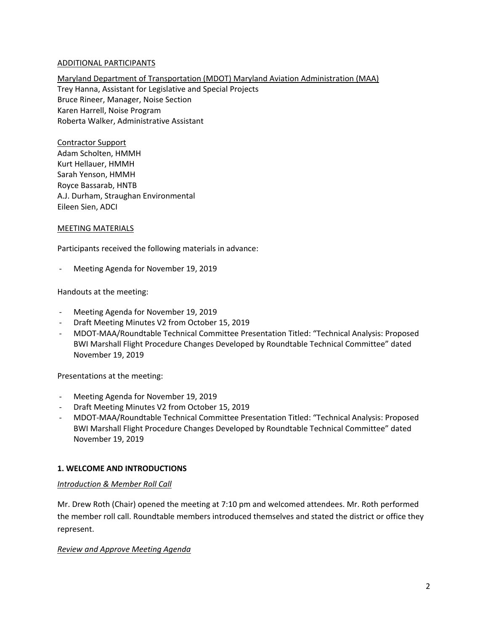## ADDITIONAL PARTICIPANTS

Maryland Department of Transportation (MDOT) Maryland Aviation Administration (MAA) Trey Hanna, Assistant for Legislative and Special Projects Bruce Rineer, Manager, Noise Section Karen Harrell, Noise Program Roberta Walker, Administrative Assistant

Contractor Support Adam Scholten, HMMH Kurt Hellauer, HMMH Sarah Yenson, HMMH Royce Bassarab, HNTB A.J. Durham, Straughan Environmental Eileen Sien, ADCI

### MEETING MATERIALS

Participants received the following materials in advance:

Meeting Agenda for November 19, 2019

Handouts at the meeting:

- Meeting Agenda for November 19, 2019
- Draft Meeting Minutes V2 from October 15, 2019
- MDOT-MAA/Roundtable Technical Committee Presentation Titled: "Technical Analysis: Proposed BWI Marshall Flight Procedure Changes Developed by Roundtable Technical Committee" dated November 19, 2019

Presentations at the meeting:

- Meeting Agenda for November 19, 2019
- Draft Meeting Minutes V2 from October 15, 2019
- MDOT-MAA/Roundtable Technical Committee Presentation Titled: "Technical Analysis: Proposed BWI Marshall Flight Procedure Changes Developed by Roundtable Technical Committee" dated November 19, 2019

### **1. WELCOME AND INTRODUCTIONS**

#### *Introduction & Member Roll Call*

Mr. Drew Roth (Chair) opened the meeting at 7:10 pm and welcomed attendees. Mr. Roth performed the member roll call. Roundtable members introduced themselves and stated the district or office they represent.

#### *Review and Approve Meeting Agenda*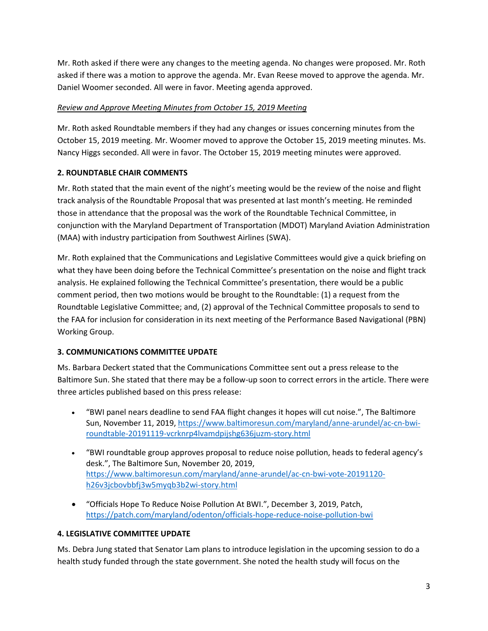Mr. Roth asked if there were any changes to the meeting agenda. No changes were proposed. Mr. Roth asked if there was a motion to approve the agenda. Mr. Evan Reese moved to approve the agenda. Mr. Daniel Woomer seconded. All were in favor. Meeting agenda approved.

# *Review and Approve Meeting Minutes from October 15, 2019 Meeting*

Mr. Roth asked Roundtable members if they had any changes or issues concerning minutes from the October 15, 2019 meeting. Mr. Woomer moved to approve the October 15, 2019 meeting minutes. Ms. Nancy Higgs seconded. All were in favor. The October 15, 2019 meeting minutes were approved.

# **2. ROUNDTABLE CHAIR COMMENTS**

Mr. Roth stated that the main event of the night's meeting would be the review of the noise and flight track analysis of the Roundtable Proposal that was presented at last month's meeting. He reminded those in attendance that the proposal was the work of the Roundtable Technical Committee, in conjunction with the Maryland Department of Transportation (MDOT) Maryland Aviation Administration (MAA) with industry participation from Southwest Airlines (SWA).

Mr. Roth explained that the Communications and Legislative Committees would give a quick briefing on what they have been doing before the Technical Committee's presentation on the noise and flight track analysis. He explained following the Technical Committee's presentation, there would be a public comment period, then two motions would be brought to the Roundtable: (1) a request from the Roundtable Legislative Committee; and, (2) approval of the Technical Committee proposals to send to the FAA for inclusion for consideration in its next meeting of the Performance Based Navigational (PBN) Working Group.

# **3. COMMUNICATIONS COMMITTEE UPDATE**

Ms. Barbara Deckert stated that the Communications Committee sent out a press release to the Baltimore Sun. She stated that there may be a follow-up soon to correct errors in the article. There were three articles published based on this press release:

- "BWI panel nears deadline to send FAA flight changes it hopes will cut noise.", The Baltimore Sun, November 11, 2019, [https://www.baltimoresun.com/maryland/anne-arundel/ac-cn-bwi](https://gcc01.safelinks.protection.outlook.com/?url=https%3A%2F%2Fwww.baltimoresun.com%2Fmaryland%2Fanne-arundel%2Fac-cn-bwi-roundtable-20191119-vcrknrp4lvamdpijshg636juzm-story.html&data=02%7C01%7Crbowie%40bwiairport.com%7C7e9a5d42c16c4fbe5b0908d798352c69%7Cb38cd27c57ca4597be2822df43dd47f1%7C0%7C0%7C637145226450153445&sdata=JUwaR0FU%2FJuZicqhgqWKn%2FIZ8rgJJ3xo9A6gtbox3%2BI%3D&reserved=0)[roundtable-20191119-vcrknrp4lvamdpijshg636juzm-story.html](https://gcc01.safelinks.protection.outlook.com/?url=https%3A%2F%2Fwww.baltimoresun.com%2Fmaryland%2Fanne-arundel%2Fac-cn-bwi-roundtable-20191119-vcrknrp4lvamdpijshg636juzm-story.html&data=02%7C01%7Crbowie%40bwiairport.com%7C7e9a5d42c16c4fbe5b0908d798352c69%7Cb38cd27c57ca4597be2822df43dd47f1%7C0%7C0%7C637145226450153445&sdata=JUwaR0FU%2FJuZicqhgqWKn%2FIZ8rgJJ3xo9A6gtbox3%2BI%3D&reserved=0)
- "BWI roundtable group approves proposal to reduce noise pollution, heads to federal agency's desk.", The Baltimore Sun, November 20, 2019, [https://www.baltimoresun.com/maryland/anne-arundel/ac-cn-bwi-vote-20191120](https://www.baltimoresun.com/maryland/anne-arundel/ac-cn-bwi-vote-20191120-h26v3jcbovbbfj3w5myqb3b2wi-story.html) [h26v3jcbovbbfj3w5myqb3b2wi-story.html](https://www.baltimoresun.com/maryland/anne-arundel/ac-cn-bwi-vote-20191120-h26v3jcbovbbfj3w5myqb3b2wi-story.html)
- "Officials Hope To Reduce Noise Pollution At BWI.", December 3, 2019, Patch, <https://patch.com/maryland/odenton/officials-hope-reduce-noise-pollution-bwi>

# **4. LEGISLATIVE COMMITTEE UPDATE**

Ms. Debra Jung stated that Senator Lam plans to introduce legislation in the upcoming session to do a health study funded through the state government. She noted the health study will focus on the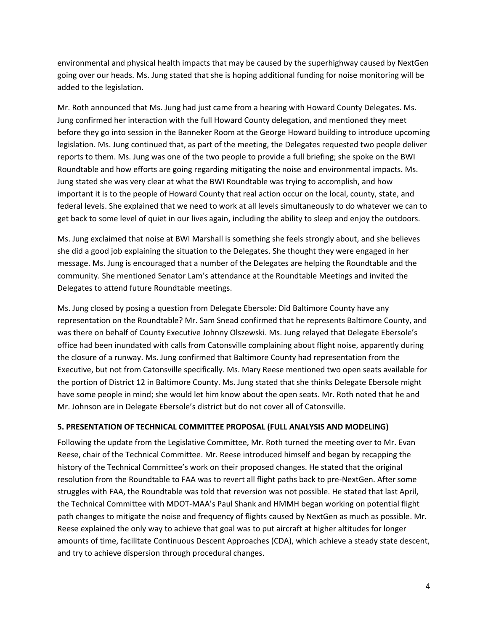environmental and physical health impacts that may be caused by the superhighway caused by NextGen going over our heads. Ms. Jung stated that she is hoping additional funding for noise monitoring will be added to the legislation.

Mr. Roth announced that Ms. Jung had just came from a hearing with Howard County Delegates. Ms. Jung confirmed her interaction with the full Howard County delegation, and mentioned they meet before they go into session in the Banneker Room at the George Howard building to introduce upcoming legislation. Ms. Jung continued that, as part of the meeting, the Delegates requested two people deliver reports to them. Ms. Jung was one of the two people to provide a full briefing; she spoke on the BWI Roundtable and how efforts are going regarding mitigating the noise and environmental impacts. Ms. Jung stated she was very clear at what the BWI Roundtable was trying to accomplish, and how important it is to the people of Howard County that real action occur on the local, county, state, and federal levels. She explained that we need to work at all levels simultaneously to do whatever we can to get back to some level of quiet in our lives again, including the ability to sleep and enjoy the outdoors.

Ms. Jung exclaimed that noise at BWI Marshall is something she feels strongly about, and she believes she did a good job explaining the situation to the Delegates. She thought they were engaged in her message. Ms. Jung is encouraged that a number of the Delegates are helping the Roundtable and the community. She mentioned Senator Lam's attendance at the Roundtable Meetings and invited the Delegates to attend future Roundtable meetings.

Ms. Jung closed by posing a question from Delegate Ebersole: Did Baltimore County have any representation on the Roundtable? Mr. Sam Snead confirmed that he represents Baltimore County, and was there on behalf of County Executive Johnny Olszewski. Ms. Jung relayed that Delegate Ebersole's office had been inundated with calls from Catonsville complaining about flight noise, apparently during the closure of a runway. Ms. Jung confirmed that Baltimore County had representation from the Executive, but not from Catonsville specifically. Ms. Mary Reese mentioned two open seats available for the portion of District 12 in Baltimore County. Ms. Jung stated that she thinks Delegate Ebersole might have some people in mind; she would let him know about the open seats. Mr. Roth noted that he and Mr. Johnson are in Delegate Ebersole's district but do not cover all of Catonsville.

# **5. PRESENTATION OF TECHNICAL COMMITTEE PROPOSAL (FULL ANALYSIS AND MODELING)**

Following the update from the Legislative Committee, Mr. Roth turned the meeting over to Mr. Evan Reese, chair of the Technical Committee. Mr. Reese introduced himself and began by recapping the history of the Technical Committee's work on their proposed changes. He stated that the original resolution from the Roundtable to FAA was to revert all flight paths back to pre-NextGen. After some struggles with FAA, the Roundtable was told that reversion was not possible. He stated that last April, the Technical Committee with MDOT-MAA's Paul Shank and HMMH began working on potential flight path changes to mitigate the noise and frequency of flights caused by NextGen as much as possible. Mr. Reese explained the only way to achieve that goal was to put aircraft at higher altitudes for longer amounts of time, facilitate Continuous Descent Approaches (CDA), which achieve a steady state descent, and try to achieve dispersion through procedural changes.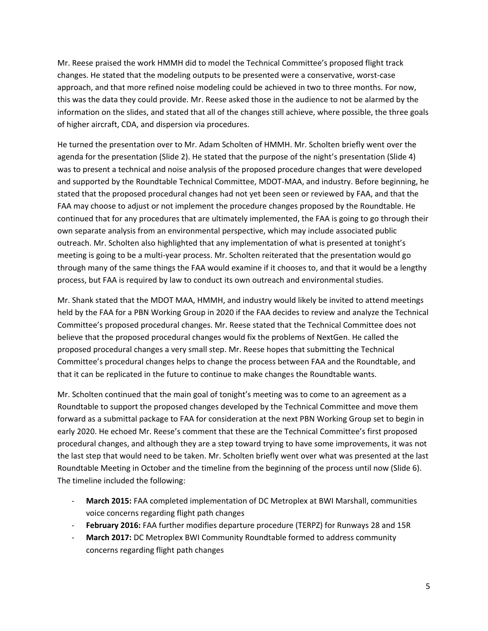Mr. Reese praised the work HMMH did to model the Technical Committee's proposed flight track changes. He stated that the modeling outputs to be presented were a conservative, worst-case approach, and that more refined noise modeling could be achieved in two to three months. For now, this was the data they could provide. Mr. Reese asked those in the audience to not be alarmed by the information on the slides, and stated that all of the changes still achieve, where possible, the three goals of higher aircraft, CDA, and dispersion via procedures.

He turned the presentation over to Mr. Adam Scholten of HMMH. Mr. Scholten briefly went over the agenda for the presentation (Slide 2). He stated that the purpose of the night's presentation (Slide 4) was to present a technical and noise analysis of the proposed procedure changes that were developed and supported by the Roundtable Technical Committee, MDOT-MAA, and industry. Before beginning, he stated that the proposed procedural changes had not yet been seen or reviewed by FAA, and that the FAA may choose to adjust or not implement the procedure changes proposed by the Roundtable. He continued that for any procedures that are ultimately implemented, the FAA is going to go through their own separate analysis from an environmental perspective, which may include associated public outreach. Mr. Scholten also highlighted that any implementation of what is presented at tonight's meeting is going to be a multi-year process. Mr. Scholten reiterated that the presentation would go through many of the same things the FAA would examine if it chooses to, and that it would be a lengthy process, but FAA is required by law to conduct its own outreach and environmental studies.

Mr. Shank stated that the MDOT MAA, HMMH, and industry would likely be invited to attend meetings held by the FAA for a PBN Working Group in 2020 if the FAA decides to review and analyze the Technical Committee's proposed procedural changes. Mr. Reese stated that the Technical Committee does not believe that the proposed procedural changes would fix the problems of NextGen. He called the proposed procedural changes a very small step. Mr. Reese hopes that submitting the Technical Committee's procedural changes helps to change the process between FAA and the Roundtable, and that it can be replicated in the future to continue to make changes the Roundtable wants.

Mr. Scholten continued that the main goal of tonight's meeting was to come to an agreement as a Roundtable to support the proposed changes developed by the Technical Committee and move them forward as a submittal package to FAA for consideration at the next PBN Working Group set to begin in early 2020. He echoed Mr. Reese's comment that these are the Technical Committee's first proposed procedural changes, and although they are a step toward trying to have some improvements, it was not the last step that would need to be taken. Mr. Scholten briefly went over what was presented at the last Roundtable Meeting in October and the timeline from the beginning of the process until now (Slide 6). The timeline included the following:

- **March 2015:** FAA completed implementation of DC Metroplex at BWI Marshall, communities voice concerns regarding flight path changes
- February 2016: FAA further modifies departure procedure (TERPZ) for Runways 28 and 15R
- March 2017: DC Metroplex BWI Community Roundtable formed to address community concerns regarding flight path changes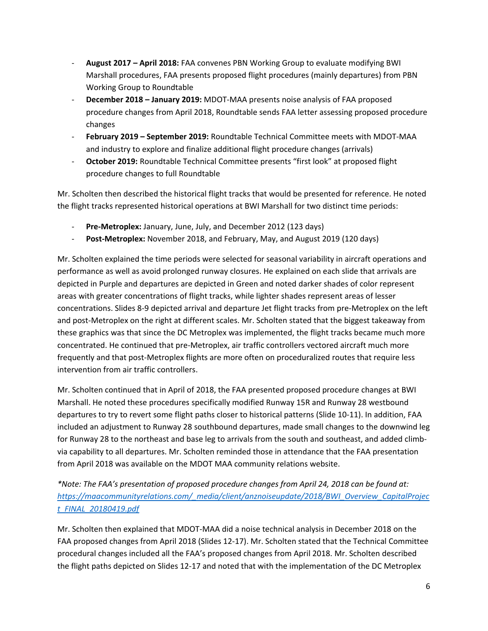- **August 2017 – April 2018:** FAA convenes PBN Working Group to evaluate modifying BWI Marshall procedures, FAA presents proposed flight procedures (mainly departures) from PBN Working Group to Roundtable
- **December 2018 – January 2019:** MDOT-MAA presents noise analysis of FAA proposed procedure changes from April 2018, Roundtable sends FAA letter assessing proposed procedure changes
- **February 2019 – September 2019:** Roundtable Technical Committee meets with MDOT-MAA and industry to explore and finalize additional flight procedure changes (arrivals)
- **October 2019:** Roundtable Technical Committee presents "first look" at proposed flight procedure changes to full Roundtable

Mr. Scholten then described the historical flight tracks that would be presented for reference. He noted the flight tracks represented historical operations at BWI Marshall for two distinct time periods:

- Pre-Metroplex: January, June, July, and December 2012 (123 days)
- Post-Metroplex: November 2018, and February, May, and August 2019 (120 days)

Mr. Scholten explained the time periods were selected for seasonal variability in aircraft operations and performance as well as avoid prolonged runway closures. He explained on each slide that arrivals are depicted in Purple and departures are depicted in Green and noted darker shades of color represent areas with greater concentrations of flight tracks, while lighter shades represent areas of lesser concentrations. Slides 8-9 depicted arrival and departure Jet flight tracks from pre-Metroplex on the left and post-Metroplex on the right at different scales. Mr. Scholten stated that the biggest takeaway from these graphics was that since the DC Metroplex was implemented, the flight tracks became much more concentrated. He continued that pre-Metroplex, air traffic controllers vectored aircraft much more frequently and that post-Metroplex flights are more often on proceduralized routes that require less intervention from air traffic controllers.

Mr. Scholten continued that in April of 2018, the FAA presented proposed procedure changes at BWI Marshall. He noted these procedures specifically modified Runway 15R and Runway 28 westbound departures to try to revert some flight paths closer to historical patterns (Slide 10-11). In addition, FAA included an adjustment to Runway 28 southbound departures, made small changes to the downwind leg for Runway 28 to the northeast and base leg to arrivals from the south and southeast, and added climbvia capability to all departures. Mr. Scholten reminded those in attendance that the FAA presentation from April 2018 was available on the MDOT MAA community relations website.

*\*Note: The FAA's presentation of proposed procedure changes from April 24, 2018 can be found at: [https://maacommunityrelations.com/\\_media/client/anznoiseupdate/2018/BWI\\_Overview\\_CapitalProjec](https://maacommunityrelations.com/_media/client/anznoiseupdate/2018/BWI_Overview_CapitalProject_FINAL_20180419.pdf) [t\\_FINAL\\_20180419.pdf](https://maacommunityrelations.com/_media/client/anznoiseupdate/2018/BWI_Overview_CapitalProject_FINAL_20180419.pdf)*

Mr. Scholten then explained that MDOT-MAA did a noise technical analysis in December 2018 on the FAA proposed changes from April 2018 (Slides 12-17). Mr. Scholten stated that the Technical Committee procedural changes included all the FAA's proposed changes from April 2018. Mr. Scholten described the flight paths depicted on Slides 12-17 and noted that with the implementation of the DC Metroplex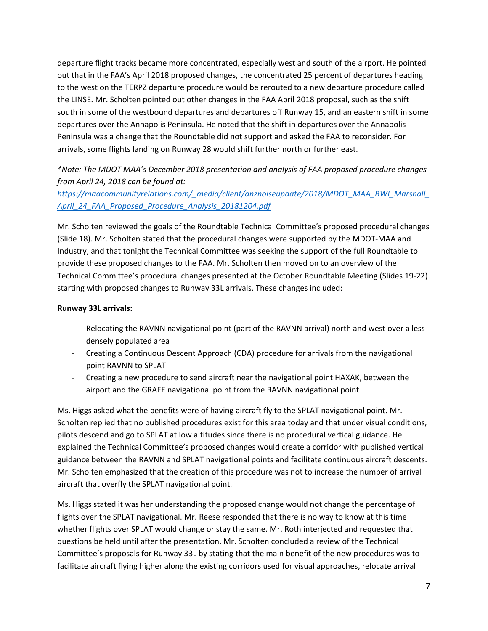departure flight tracks became more concentrated, especially west and south of the airport. He pointed out that in the FAA's April 2018 proposed changes, the concentrated 25 percent of departures heading to the west on the TERPZ departure procedure would be rerouted to a new departure procedure called the LINSE. Mr. Scholten pointed out other changes in the FAA April 2018 proposal, such as the shift south in some of the westbound departures and departures off Runway 15, and an eastern shift in some departures over the Annapolis Peninsula. He noted that the shift in departures over the Annapolis Peninsula was a change that the Roundtable did not support and asked the FAA to reconsider. For arrivals, some flights landing on Runway 28 would shift further north or further east.

# *\*Note: The MDOT MAA's December 2018 presentation and analysis of FAA proposed procedure changes from April 24, 2018 can be found at:*

# *[https://maacommunityrelations.com/\\_media/client/anznoiseupdate/2018/MDOT\\_MAA\\_BWI\\_Marshall\\_](https://maacommunityrelations.com/_media/client/anznoiseupdate/2018/MDOT_MAA_BWI_Marshall_April_24_FAA_Proposed_Procedure_Analysis_20181204.pdf) [April\\_24\\_FAA\\_Proposed\\_Procedure\\_Analysis\\_20181204.pdf](https://maacommunityrelations.com/_media/client/anznoiseupdate/2018/MDOT_MAA_BWI_Marshall_April_24_FAA_Proposed_Procedure_Analysis_20181204.pdf)*

Mr. Scholten reviewed the goals of the Roundtable Technical Committee's proposed procedural changes (Slide 18). Mr. Scholten stated that the procedural changes were supported by the MDOT-MAA and Industry, and that tonight the Technical Committee was seeking the support of the full Roundtable to provide these proposed changes to the FAA. Mr. Scholten then moved on to an overview of the Technical Committee's procedural changes presented at the October Roundtable Meeting (Slides 19-22) starting with proposed changes to Runway 33L arrivals. These changes included:

## **Runway 33L arrivals:**

- Relocating the RAVNN navigational point (part of the RAVNN arrival) north and west over a less densely populated area
- Creating a Continuous Descent Approach (CDA) procedure for arrivals from the navigational point RAVNN to SPLAT
- Creating a new procedure to send aircraft near the navigational point HAXAK, between the airport and the GRAFE navigational point from the RAVNN navigational point

Ms. Higgs asked what the benefits were of having aircraft fly to the SPLAT navigational point. Mr. Scholten replied that no published procedures exist for this area today and that under visual conditions, pilots descend and go to SPLAT at low altitudes since there is no procedural vertical guidance. He explained the Technical Committee's proposed changes would create a corridor with published vertical guidance between the RAVNN and SPLAT navigational points and facilitate continuous aircraft descents. Mr. Scholten emphasized that the creation of this procedure was not to increase the number of arrival aircraft that overfly the SPLAT navigational point.

Ms. Higgs stated it was her understanding the proposed change would not change the percentage of flights over the SPLAT navigational. Mr. Reese responded that there is no way to know at this time whether flights over SPLAT would change or stay the same. Mr. Roth interjected and requested that questions be held until after the presentation. Mr. Scholten concluded a review of the Technical Committee's proposals for Runway 33L by stating that the main benefit of the new procedures was to facilitate aircraft flying higher along the existing corridors used for visual approaches, relocate arrival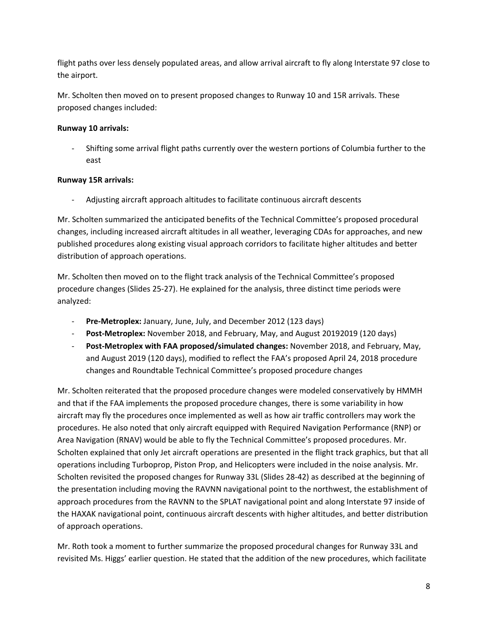flight paths over less densely populated areas, and allow arrival aircraft to fly along Interstate 97 close to the airport.

Mr. Scholten then moved on to present proposed changes to Runway 10 and 15R arrivals. These proposed changes included:

# **Runway 10 arrivals:**

Shifting some arrival flight paths currently over the western portions of Columbia further to the east

# **Runway 15R arrivals:**

- Adjusting aircraft approach altitudes to facilitate continuous aircraft descents

Mr. Scholten summarized the anticipated benefits of the Technical Committee's proposed procedural changes, including increased aircraft altitudes in all weather, leveraging CDAs for approaches, and new published procedures along existing visual approach corridors to facilitate higher altitudes and better distribution of approach operations.

Mr. Scholten then moved on to the flight track analysis of the Technical Committee's proposed procedure changes (Slides 25-27). He explained for the analysis, three distinct time periods were analyzed:

- **Pre-Metroplex:** January, June, July, and December 2012 (123 days)
- **Post-Metroplex:** November 2018, and February, May, and August 20192019 (120 days)
- **Post-Metroplex with FAA proposed/simulated changes:** November 2018, and February, May, and August 2019 (120 days), modified to reflect the FAA's proposed April 24, 2018 procedure changes and Roundtable Technical Committee's proposed procedure changes

Mr. Scholten reiterated that the proposed procedure changes were modeled conservatively by HMMH and that if the FAA implements the proposed procedure changes, there is some variability in how aircraft may fly the procedures once implemented as well as how air traffic controllers may work the procedures. He also noted that only aircraft equipped with Required Navigation Performance (RNP) or Area Navigation (RNAV) would be able to fly the Technical Committee's proposed procedures. Mr. Scholten explained that only Jet aircraft operations are presented in the flight track graphics, but that all operations including Turboprop, Piston Prop, and Helicopters were included in the noise analysis. Mr. Scholten revisited the proposed changes for Runway 33L (Slides 28-42) as described at the beginning of the presentation including moving the RAVNN navigational point to the northwest, the establishment of approach procedures from the RAVNN to the SPLAT navigational point and along Interstate 97 inside of the HAXAK navigational point, continuous aircraft descents with higher altitudes, and better distribution of approach operations.

Mr. Roth took a moment to further summarize the proposed procedural changes for Runway 33L and revisited Ms. Higgs' earlier question. He stated that the addition of the new procedures, which facilitate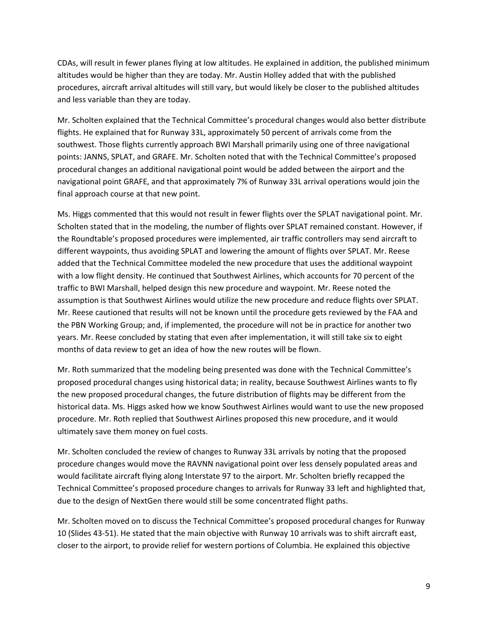CDAs, will result in fewer planes flying at low altitudes. He explained in addition, the published minimum altitudes would be higher than they are today. Mr. Austin Holley added that with the published procedures, aircraft arrival altitudes will still vary, but would likely be closer to the published altitudes and less variable than they are today.

Mr. Scholten explained that the Technical Committee's procedural changes would also better distribute flights. He explained that for Runway 33L, approximately 50 percent of arrivals come from the southwest. Those flights currently approach BWI Marshall primarily using one of three navigational points: JANNS, SPLAT, and GRAFE. Mr. Scholten noted that with the Technical Committee's proposed procedural changes an additional navigational point would be added between the airport and the navigational point GRAFE, and that approximately 7% of Runway 33L arrival operations would join the final approach course at that new point.

Ms. Higgs commented that this would not result in fewer flights over the SPLAT navigational point. Mr. Scholten stated that in the modeling, the number of flights over SPLAT remained constant. However, if the Roundtable's proposed procedures were implemented, air traffic controllers may send aircraft to different waypoints, thus avoiding SPLAT and lowering the amount of flights over SPLAT. Mr. Reese added that the Technical Committee modeled the new procedure that uses the additional waypoint with a low flight density. He continued that Southwest Airlines, which accounts for 70 percent of the traffic to BWI Marshall, helped design this new procedure and waypoint. Mr. Reese noted the assumption is that Southwest Airlines would utilize the new procedure and reduce flights over SPLAT. Mr. Reese cautioned that results will not be known until the procedure gets reviewed by the FAA and the PBN Working Group; and, if implemented, the procedure will not be in practice for another two years. Mr. Reese concluded by stating that even after implementation, it will still take six to eight months of data review to get an idea of how the new routes will be flown.

Mr. Roth summarized that the modeling being presented was done with the Technical Committee's proposed procedural changes using historical data; in reality, because Southwest Airlines wants to fly the new proposed procedural changes, the future distribution of flights may be different from the historical data. Ms. Higgs asked how we know Southwest Airlines would want to use the new proposed procedure. Mr. Roth replied that Southwest Airlines proposed this new procedure, and it would ultimately save them money on fuel costs.

Mr. Scholten concluded the review of changes to Runway 33L arrivals by noting that the proposed procedure changes would move the RAVNN navigational point over less densely populated areas and would facilitate aircraft flying along Interstate 97 to the airport. Mr. Scholten briefly recapped the Technical Committee's proposed procedure changes to arrivals for Runway 33 left and highlighted that, due to the design of NextGen there would still be some concentrated flight paths.

Mr. Scholten moved on to discuss the Technical Committee's proposed procedural changes for Runway 10 (Slides 43-51). He stated that the main objective with Runway 10 arrivals was to shift aircraft east, closer to the airport, to provide relief for western portions of Columbia. He explained this objective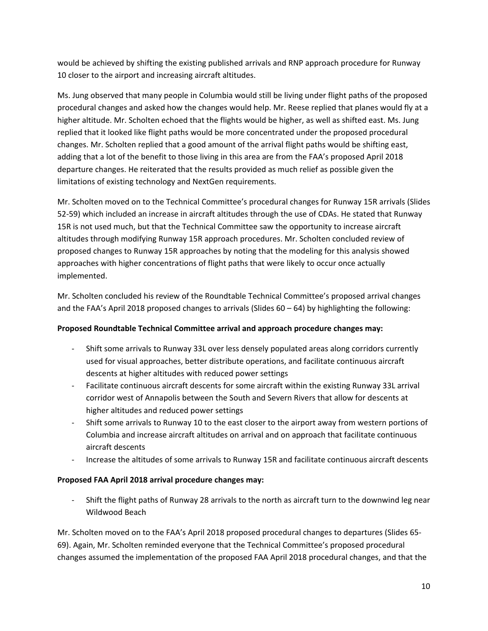would be achieved by shifting the existing published arrivals and RNP approach procedure for Runway 10 closer to the airport and increasing aircraft altitudes.

Ms. Jung observed that many people in Columbia would still be living under flight paths of the proposed procedural changes and asked how the changes would help. Mr. Reese replied that planes would fly at a higher altitude. Mr. Scholten echoed that the flights would be higher, as well as shifted east. Ms. Jung replied that it looked like flight paths would be more concentrated under the proposed procedural changes. Mr. Scholten replied that a good amount of the arrival flight paths would be shifting east, adding that a lot of the benefit to those living in this area are from the FAA's proposed April 2018 departure changes. He reiterated that the results provided as much relief as possible given the limitations of existing technology and NextGen requirements.

Mr. Scholten moved on to the Technical Committee's procedural changes for Runway 15R arrivals (Slides 52-59) which included an increase in aircraft altitudes through the use of CDAs. He stated that Runway 15R is not used much, but that the Technical Committee saw the opportunity to increase aircraft altitudes through modifying Runway 15R approach procedures. Mr. Scholten concluded review of proposed changes to Runway 15R approaches by noting that the modeling for this analysis showed approaches with higher concentrations of flight paths that were likely to occur once actually implemented.

Mr. Scholten concluded his review of the Roundtable Technical Committee's proposed arrival changes and the FAA's April 2018 proposed changes to arrivals (Slides  $60 - 64$ ) by highlighting the following:

# **Proposed Roundtable Technical Committee arrival and approach procedure changes may:**

- Shift some arrivals to Runway 33L over less densely populated areas along corridors currently used for visual approaches, better distribute operations, and facilitate continuous aircraft descents at higher altitudes with reduced power settings
- Facilitate continuous aircraft descents for some aircraft within the existing Runway 33L arrival corridor west of Annapolis between the South and Severn Rivers that allow for descents at higher altitudes and reduced power settings
- Shift some arrivals to Runway 10 to the east closer to the airport away from western portions of Columbia and increase aircraft altitudes on arrival and on approach that facilitate continuous aircraft descents
- Increase the altitudes of some arrivals to Runway 15R and facilitate continuous aircraft descents

# **Proposed FAA April 2018 arrival procedure changes may:**

Shift the flight paths of Runway 28 arrivals to the north as aircraft turn to the downwind leg near Wildwood Beach

Mr. Scholten moved on to the FAA's April 2018 proposed procedural changes to departures (Slides 65- 69). Again, Mr. Scholten reminded everyone that the Technical Committee's proposed procedural changes assumed the implementation of the proposed FAA April 2018 procedural changes, and that the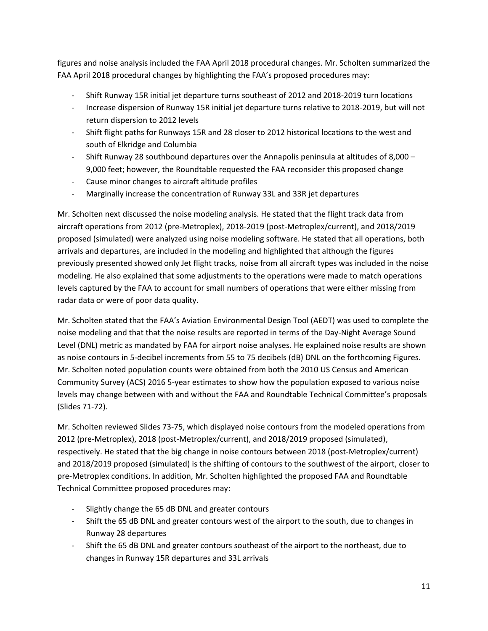figures and noise analysis included the FAA April 2018 procedural changes. Mr. Scholten summarized the FAA April 2018 procedural changes by highlighting the FAA's proposed procedures may:

- Shift Runway 15R initial jet departure turns southeast of 2012 and 2018-2019 turn locations
- Increase dispersion of Runway 15R initial jet departure turns relative to 2018-2019, but will not return dispersion to 2012 levels
- Shift flight paths for Runways 15R and 28 closer to 2012 historical locations to the west and south of Elkridge and Columbia
- Shift Runway 28 southbound departures over the Annapolis peninsula at altitudes of 8,000 9,000 feet; however, the Roundtable requested the FAA reconsider this proposed change
- Cause minor changes to aircraft altitude profiles
- Marginally increase the concentration of Runway 33L and 33R jet departures

Mr. Scholten next discussed the noise modeling analysis. He stated that the flight track data from aircraft operations from 2012 (pre-Metroplex), 2018-2019 (post-Metroplex/current), and 2018/2019 proposed (simulated) were analyzed using noise modeling software. He stated that all operations, both arrivals and departures, are included in the modeling and highlighted that although the figures previously presented showed only Jet flight tracks, noise from all aircraft types was included in the noise modeling. He also explained that some adjustments to the operations were made to match operations levels captured by the FAA to account for small numbers of operations that were either missing from radar data or were of poor data quality.

Mr. Scholten stated that the FAA's Aviation Environmental Design Tool (AEDT) was used to complete the noise modeling and that that the noise results are reported in terms of the Day-Night Average Sound Level (DNL) metric as mandated by FAA for airport noise analyses. He explained noise results are shown as noise contours in 5-decibel increments from 55 to 75 decibels (dB) DNL on the forthcoming Figures. Mr. Scholten noted population counts were obtained from both the 2010 US Census and American Community Survey (ACS) 2016 5-year estimates to show how the population exposed to various noise levels may change between with and without the FAA and Roundtable Technical Committee's proposals (Slides 71-72).

Mr. Scholten reviewed Slides 73-75, which displayed noise contours from the modeled operations from 2012 (pre-Metroplex), 2018 (post-Metroplex/current), and 2018/2019 proposed (simulated), respectively. He stated that the big change in noise contours between 2018 (post-Metroplex/current) and 2018/2019 proposed (simulated) is the shifting of contours to the southwest of the airport, closer to pre-Metroplex conditions. In addition, Mr. Scholten highlighted the proposed FAA and Roundtable Technical Committee proposed procedures may:

- Slightly change the 65 dB DNL and greater contours
- Shift the 65 dB DNL and greater contours west of the airport to the south, due to changes in Runway 28 departures
- Shift the 65 dB DNL and greater contours southeast of the airport to the northeast, due to changes in Runway 15R departures and 33L arrivals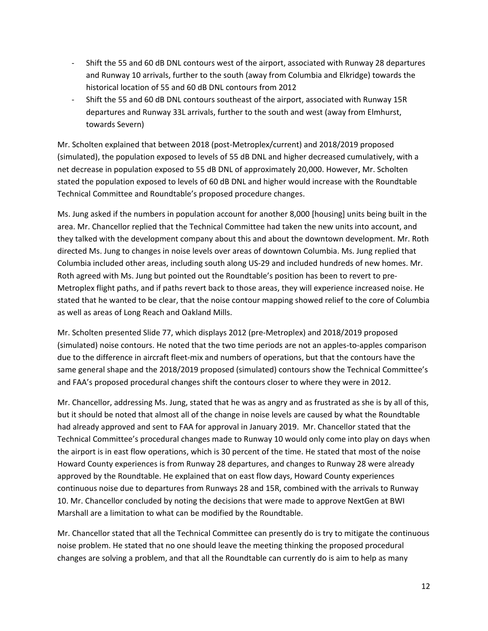- Shift the 55 and 60 dB DNL contours west of the airport, associated with Runway 28 departures and Runway 10 arrivals, further to the south (away from Columbia and Elkridge) towards the historical location of 55 and 60 dB DNL contours from 2012
- Shift the 55 and 60 dB DNL contours southeast of the airport, associated with Runway 15R departures and Runway 33L arrivals, further to the south and west (away from Elmhurst, towards Severn)

Mr. Scholten explained that between 2018 (post-Metroplex/current) and 2018/2019 proposed (simulated), the population exposed to levels of 55 dB DNL and higher decreased cumulatively, with a net decrease in population exposed to 55 dB DNL of approximately 20,000. However, Mr. Scholten stated the population exposed to levels of 60 dB DNL and higher would increase with the Roundtable Technical Committee and Roundtable's proposed procedure changes.

Ms. Jung asked if the numbers in population account for another 8,000 [housing] units being built in the area. Mr. Chancellor replied that the Technical Committee had taken the new units into account, and they talked with the development company about this and about the downtown development. Mr. Roth directed Ms. Jung to changes in noise levels over areas of downtown Columbia. Ms. Jung replied that Columbia included other areas, including south along US-29 and included hundreds of new homes. Mr. Roth agreed with Ms. Jung but pointed out the Roundtable's position has been to revert to pre-Metroplex flight paths, and if paths revert back to those areas, they will experience increased noise. He stated that he wanted to be clear, that the noise contour mapping showed relief to the core of Columbia as well as areas of Long Reach and Oakland Mills.

Mr. Scholten presented Slide 77, which displays 2012 (pre-Metroplex) and 2018/2019 proposed (simulated) noise contours. He noted that the two time periods are not an apples-to-apples comparison due to the difference in aircraft fleet-mix and numbers of operations, but that the contours have the same general shape and the 2018/2019 proposed (simulated) contours show the Technical Committee's and FAA's proposed procedural changes shift the contours closer to where they were in 2012.

Mr. Chancellor, addressing Ms. Jung, stated that he was as angry and as frustrated as she is by all of this, but it should be noted that almost all of the change in noise levels are caused by what the Roundtable had already approved and sent to FAA for approval in January 2019. Mr. Chancellor stated that the Technical Committee's procedural changes made to Runway 10 would only come into play on days when the airport is in east flow operations, which is 30 percent of the time. He stated that most of the noise Howard County experiences is from Runway 28 departures, and changes to Runway 28 were already approved by the Roundtable. He explained that on east flow days, Howard County experiences continuous noise due to departures from Runways 28 and 15R, combined with the arrivals to Runway 10. Mr. Chancellor concluded by noting the decisions that were made to approve NextGen at BWI Marshall are a limitation to what can be modified by the Roundtable.

Mr. Chancellor stated that all the Technical Committee can presently do is try to mitigate the continuous noise problem. He stated that no one should leave the meeting thinking the proposed procedural changes are solving a problem, and that all the Roundtable can currently do is aim to help as many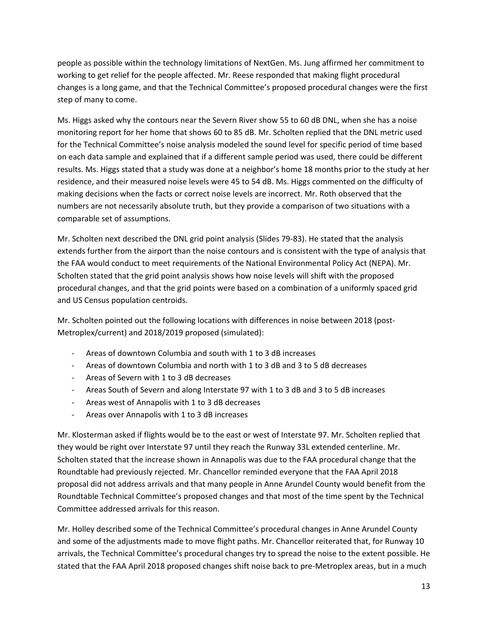people as possible within the technology limitations of NextGen. Ms. Jung affirmed her commitment to working to get relief for the people affected. Mr. Reese responded that making flight procedural changes is a long game, and that the Technical Committee's proposed procedural changes were the first step of many to come.

Ms. Higgs asked why the contours near the Severn River show 55 to 60 dB DNL, when she has a noise monitoring report for her home that shows 60 to 85 dB. Mr. Scholten replied that the DNL metric used for the Technical Committee's noise analysis modeled the sound level for specific period of time based on each data sample and explained that if a different sample period was used, there could be different results. Ms. Higgs stated that a study was done at a neighbor's home 18 months prior to the study at her residence, and their measured noise levels were 45 to 54 dB. Ms. Higgs commented on the difficulty of making decisions when the facts or correct noise levels are incorrect. Mr. Roth observed that the numbers are not necessarily absolute truth, but they provide a comparison of two situations with a comparable set of assumptions.

Mr. Scholten next described the DNL grid point analysis (Slides 79-83). He stated that the analysis extends further from the airport than the noise contours and is consistent with the type of analysis that the FAA would conduct to meet requirements of the National Environmental Policy Act (NEPA). Mr. Scholten stated that the grid point analysis shows how noise levels will shift with the proposed procedural changes, and that the grid points were based on a combination of a uniformly spaced grid and US Census population centroids.

Mr. Scholten pointed out the following locations with differences in noise between 2018 (post-Metroplex/current) and 2018/2019 proposed (simulated):

- Areas of downtown Columbia and south with 1 to 3 dB increases
- Areas of downtown Columbia and north with 1 to 3 dB and 3 to 5 dB decreases
- Areas of Severn with 1 to 3 dB decreases
- Areas South of Severn and along Interstate 97 with 1 to 3 dB and 3 to 5 dB increases
- Areas west of Annapolis with 1 to 3 dB decreases
- Areas over Annapolis with 1 to 3 dB increases

Mr. Klosterman asked if flights would be to the east or west of Interstate 97. Mr. Scholten replied that they would be right over Interstate 97 until they reach the Runway 33L extended centerline. Mr. Scholten stated that the increase shown in Annapolis was due to the FAA procedural change that the Roundtable had previously rejected. Mr. Chancellor reminded everyone that the FAA April 2018 proposal did not address arrivals and that many people in Anne Arundel County would benefit from the Roundtable Technical Committee's proposed changes and that most of the time spent by the Technical Committee addressed arrivals for this reason.

Mr. Holley described some of the Technical Committee's procedural changes in Anne Arundel County and some of the adjustments made to move flight paths. Mr. Chancellor reiterated that, for Runway 10 arrivals, the Technical Committee's procedural changes try to spread the noise to the extent possible. He stated that the FAA April 2018 proposed changes shift noise back to pre-Metroplex areas, but in a much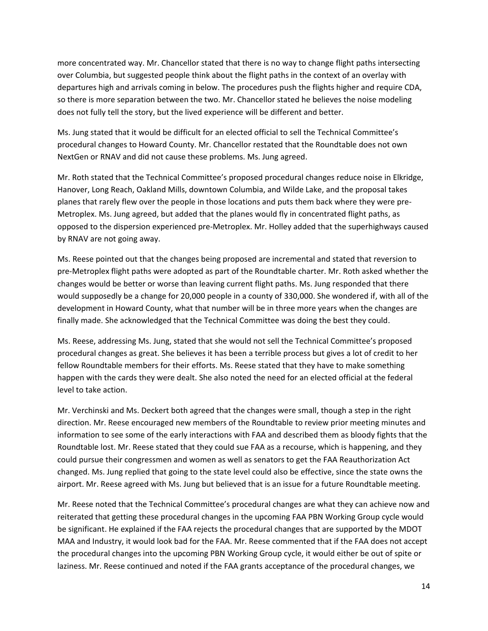more concentrated way. Mr. Chancellor stated that there is no way to change flight paths intersecting over Columbia, but suggested people think about the flight paths in the context of an overlay with departures high and arrivals coming in below. The procedures push the flights higher and require CDA, so there is more separation between the two. Mr. Chancellor stated he believes the noise modeling does not fully tell the story, but the lived experience will be different and better.

Ms. Jung stated that it would be difficult for an elected official to sell the Technical Committee's procedural changes to Howard County. Mr. Chancellor restated that the Roundtable does not own NextGen or RNAV and did not cause these problems. Ms. Jung agreed.

Mr. Roth stated that the Technical Committee's proposed procedural changes reduce noise in Elkridge, Hanover, Long Reach, Oakland Mills, downtown Columbia, and Wilde Lake, and the proposal takes planes that rarely flew over the people in those locations and puts them back where they were pre-Metroplex. Ms. Jung agreed, but added that the planes would fly in concentrated flight paths, as opposed to the dispersion experienced pre-Metroplex. Mr. Holley added that the superhighways caused by RNAV are not going away.

Ms. Reese pointed out that the changes being proposed are incremental and stated that reversion to pre-Metroplex flight paths were adopted as part of the Roundtable charter. Mr. Roth asked whether the changes would be better or worse than leaving current flight paths. Ms. Jung responded that there would supposedly be a change for 20,000 people in a county of 330,000. She wondered if, with all of the development in Howard County, what that number will be in three more years when the changes are finally made. She acknowledged that the Technical Committee was doing the best they could.

Ms. Reese, addressing Ms. Jung, stated that she would not sell the Technical Committee's proposed procedural changes as great. She believes it has been a terrible process but gives a lot of credit to her fellow Roundtable members for their efforts. Ms. Reese stated that they have to make something happen with the cards they were dealt. She also noted the need for an elected official at the federal level to take action.

Mr. Verchinski and Ms. Deckert both agreed that the changes were small, though a step in the right direction. Mr. Reese encouraged new members of the Roundtable to review prior meeting minutes and information to see some of the early interactions with FAA and described them as bloody fights that the Roundtable lost. Mr. Reese stated that they could sue FAA as a recourse, which is happening, and they could pursue their congressmen and women as well as senators to get the FAA Reauthorization Act changed. Ms. Jung replied that going to the state level could also be effective, since the state owns the airport. Mr. Reese agreed with Ms. Jung but believed that is an issue for a future Roundtable meeting.

Mr. Reese noted that the Technical Committee's procedural changes are what they can achieve now and reiterated that getting these procedural changes in the upcoming FAA PBN Working Group cycle would be significant. He explained if the FAA rejects the procedural changes that are supported by the MDOT MAA and Industry, it would look bad for the FAA. Mr. Reese commented that if the FAA does not accept the procedural changes into the upcoming PBN Working Group cycle, it would either be out of spite or laziness. Mr. Reese continued and noted if the FAA grants acceptance of the procedural changes, we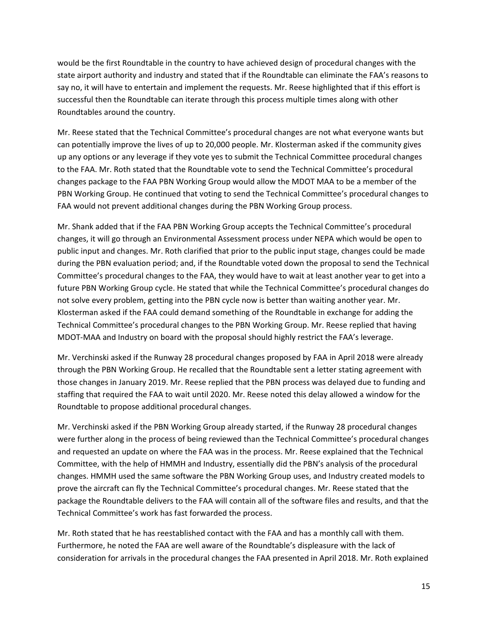would be the first Roundtable in the country to have achieved design of procedural changes with the state airport authority and industry and stated that if the Roundtable can eliminate the FAA's reasons to say no, it will have to entertain and implement the requests. Mr. Reese highlighted that if this effort is successful then the Roundtable can iterate through this process multiple times along with other Roundtables around the country.

Mr. Reese stated that the Technical Committee's procedural changes are not what everyone wants but can potentially improve the lives of up to 20,000 people. Mr. Klosterman asked if the community gives up any options or any leverage if they vote yes to submit the Technical Committee procedural changes to the FAA. Mr. Roth stated that the Roundtable vote to send the Technical Committee's procedural changes package to the FAA PBN Working Group would allow the MDOT MAA to be a member of the PBN Working Group. He continued that voting to send the Technical Committee's procedural changes to FAA would not prevent additional changes during the PBN Working Group process.

Mr. Shank added that if the FAA PBN Working Group accepts the Technical Committee's procedural changes, it will go through an Environmental Assessment process under NEPA which would be open to public input and changes. Mr. Roth clarified that prior to the public input stage, changes could be made during the PBN evaluation period; and, if the Roundtable voted down the proposal to send the Technical Committee's procedural changes to the FAA, they would have to wait at least another year to get into a future PBN Working Group cycle. He stated that while the Technical Committee's procedural changes do not solve every problem, getting into the PBN cycle now is better than waiting another year. Mr. Klosterman asked if the FAA could demand something of the Roundtable in exchange for adding the Technical Committee's procedural changes to the PBN Working Group. Mr. Reese replied that having MDOT-MAA and Industry on board with the proposal should highly restrict the FAA's leverage.

Mr. Verchinski asked if the Runway 28 procedural changes proposed by FAA in April 2018 were already through the PBN Working Group. He recalled that the Roundtable sent a letter stating agreement with those changes in January 2019. Mr. Reese replied that the PBN process was delayed due to funding and staffing that required the FAA to wait until 2020. Mr. Reese noted this delay allowed a window for the Roundtable to propose additional procedural changes.

Mr. Verchinski asked if the PBN Working Group already started, if the Runway 28 procedural changes were further along in the process of being reviewed than the Technical Committee's procedural changes and requested an update on where the FAA was in the process. Mr. Reese explained that the Technical Committee, with the help of HMMH and Industry, essentially did the PBN's analysis of the procedural changes. HMMH used the same software the PBN Working Group uses, and Industry created models to prove the aircraft can fly the Technical Committee's procedural changes. Mr. Reese stated that the package the Roundtable delivers to the FAA will contain all of the software files and results, and that the Technical Committee's work has fast forwarded the process.

Mr. Roth stated that he has reestablished contact with the FAA and has a monthly call with them. Furthermore, he noted the FAA are well aware of the Roundtable's displeasure with the lack of consideration for arrivals in the procedural changes the FAA presented in April 2018. Mr. Roth explained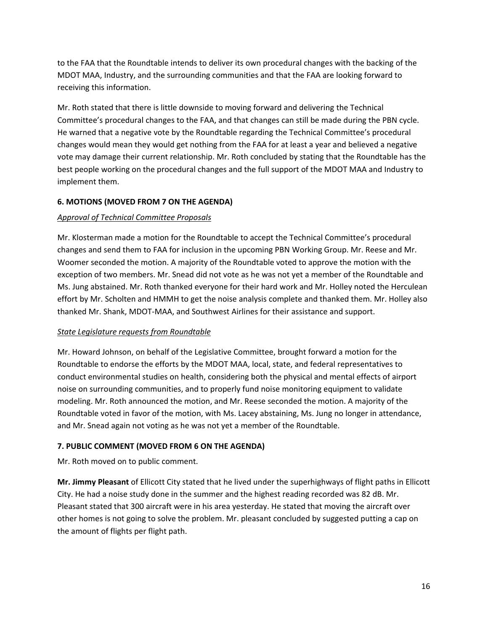to the FAA that the Roundtable intends to deliver its own procedural changes with the backing of the MDOT MAA, Industry, and the surrounding communities and that the FAA are looking forward to receiving this information.

Mr. Roth stated that there is little downside to moving forward and delivering the Technical Committee's procedural changes to the FAA, and that changes can still be made during the PBN cycle. He warned that a negative vote by the Roundtable regarding the Technical Committee's procedural changes would mean they would get nothing from the FAA for at least a year and believed a negative vote may damage their current relationship. Mr. Roth concluded by stating that the Roundtable has the best people working on the procedural changes and the full support of the MDOT MAA and Industry to implement them.

## **6. MOTIONS (MOVED FROM 7 ON THE AGENDA)**

## *Approval of Technical Committee Proposals*

Mr. Klosterman made a motion for the Roundtable to accept the Technical Committee's procedural changes and send them to FAA for inclusion in the upcoming PBN Working Group. Mr. Reese and Mr. Woomer seconded the motion. A majority of the Roundtable voted to approve the motion with the exception of two members. Mr. Snead did not vote as he was not yet a member of the Roundtable and Ms. Jung abstained. Mr. Roth thanked everyone for their hard work and Mr. Holley noted the Herculean effort by Mr. Scholten and HMMH to get the noise analysis complete and thanked them. Mr. Holley also thanked Mr. Shank, MDOT-MAA, and Southwest Airlines for their assistance and support.

### *State Legislature requests from Roundtable*

Mr. Howard Johnson, on behalf of the Legislative Committee, brought forward a motion for the Roundtable to endorse the efforts by the MDOT MAA, local, state, and federal representatives to conduct environmental studies on health, considering both the physical and mental effects of airport noise on surrounding communities, and to properly fund noise monitoring equipment to validate modeling. Mr. Roth announced the motion, and Mr. Reese seconded the motion. A majority of the Roundtable voted in favor of the motion, with Ms. Lacey abstaining, Ms. Jung no longer in attendance, and Mr. Snead again not voting as he was not yet a member of the Roundtable.

# **7. PUBLIC COMMENT (MOVED FROM 6 ON THE AGENDA)**

Mr. Roth moved on to public comment.

**Mr. Jimmy Pleasant** of Ellicott City stated that he lived under the superhighways of flight paths in Ellicott City. He had a noise study done in the summer and the highest reading recorded was 82 dB. Mr. Pleasant stated that 300 aircraft were in his area yesterday. He stated that moving the aircraft over other homes is not going to solve the problem. Mr. pleasant concluded by suggested putting a cap on the amount of flights per flight path.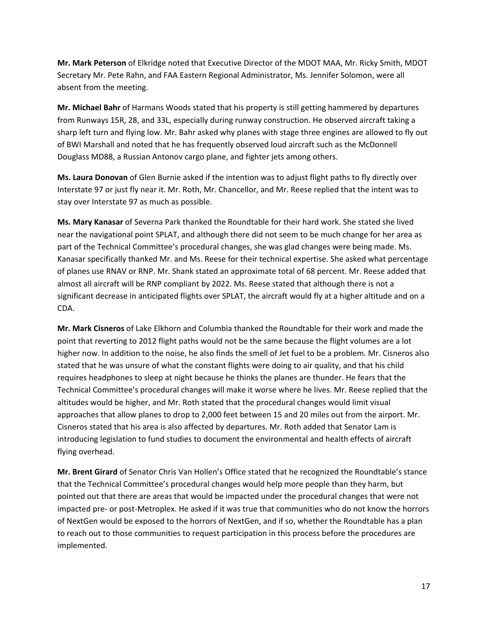**Mr. Mark Peterson** of Elkridge noted that Executive Director of the MDOT MAA, Mr. Ricky Smith, MDOT Secretary Mr. Pete Rahn, and FAA Eastern Regional Administrator, Ms. Jennifer Solomon, were all absent from the meeting.

**Mr. Michael Bahr** of Harmans Woods stated that his property is still getting hammered by departures from Runways 15R, 28, and 33L, especially during runway construction. He observed aircraft taking a sharp left turn and flying low. Mr. Bahr asked why planes with stage three engines are allowed to fly out of BWI Marshall and noted that he has frequently observed loud aircraft such as the McDonnell Douglass MD88, a Russian Antonov cargo plane, and fighter jets among others.

**Ms. Laura Donovan** of Glen Burnie asked if the intention was to adjust flight paths to fly directly over Interstate 97 or just fly near it. Mr. Roth, Mr. Chancellor, and Mr. Reese replied that the intent was to stay over Interstate 97 as much as possible.

**Ms. Mary Kanasar** of Severna Park thanked the Roundtable for their hard work. She stated she lived near the navigational point SPLAT, and although there did not seem to be much change for her area as part of the Technical Committee's procedural changes, she was glad changes were being made. Ms. Kanasar specifically thanked Mr. and Ms. Reese for their technical expertise. She asked what percentage of planes use RNAV or RNP. Mr. Shank stated an approximate total of 68 percent. Mr. Reese added that almost all aircraft will be RNP compliant by 2022. Ms. Reese stated that although there is not a significant decrease in anticipated flights over SPLAT, the aircraft would fly at a higher altitude and on a CDA.

**Mr. Mark Cisneros** of Lake Elkhorn and Columbia thanked the Roundtable for their work and made the point that reverting to 2012 flight paths would not be the same because the flight volumes are a lot higher now. In addition to the noise, he also finds the smell of Jet fuel to be a problem. Mr. Cisneros also stated that he was unsure of what the constant flights were doing to air quality, and that his child requires headphones to sleep at night because he thinks the planes are thunder. He fears that the Technical Committee's procedural changes will make it worse where he lives. Mr. Reese replied that the altitudes would be higher, and Mr. Roth stated that the procedural changes would limit visual approaches that allow planes to drop to 2,000 feet between 15 and 20 miles out from the airport. Mr. Cisneros stated that his area is also affected by departures. Mr. Roth added that Senator Lam is introducing legislation to fund studies to document the environmental and health effects of aircraft flying overhead.

**Mr. Brent Girard** of Senator Chris Van Hollen's Office stated that he recognized the Roundtable's stance that the Technical Committee's procedural changes would help more people than they harm, but pointed out that there are areas that would be impacted under the procedural changes that were not impacted pre- or post-Metroplex. He asked if it was true that communities who do not know the horrors of NextGen would be exposed to the horrors of NextGen, and if so, whether the Roundtable has a plan to reach out to those communities to request participation in this process before the procedures are implemented.